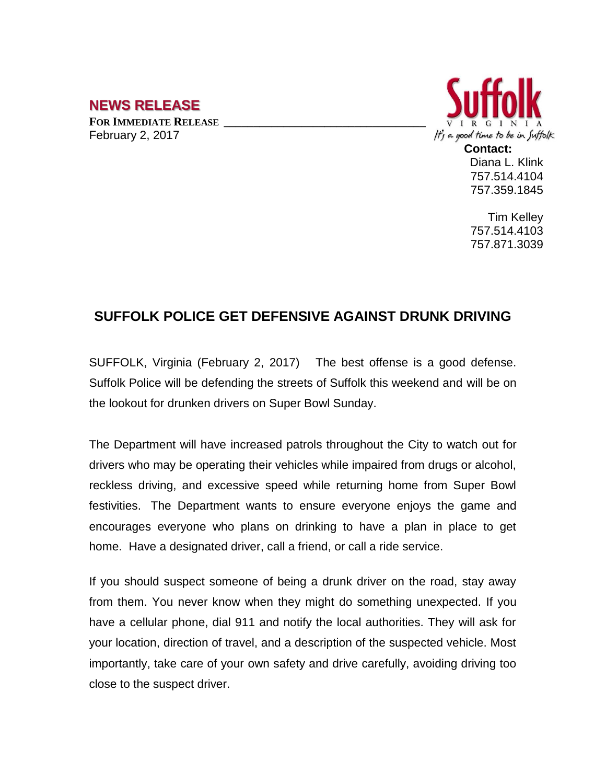## **NEWS RELEASE**

**FOR IMMEDIATE RELEASE \_\_\_\_\_\_\_\_\_\_\_\_\_\_\_\_\_\_\_\_\_\_\_\_\_\_\_\_\_\_\_\_\_\_** February 2, 2017



Diana L. Klink 757.514.4104 757.359.1845

Tim Kelley 757.514.4103 757.871.3039

## **SUFFOLK POLICE GET DEFENSIVE AGAINST DRUNK DRIVING**

SUFFOLK, Virginia (February 2, 2017) The best offense is a good defense. Suffolk Police will be defending the streets of Suffolk this weekend and will be on the lookout for drunken drivers on Super Bowl Sunday.

The Department will have increased patrols throughout the City to watch out for drivers who may be operating their vehicles while impaired from drugs or alcohol, reckless driving, and excessive speed while returning home from Super Bowl festivities. The Department wants to ensure everyone enjoys the game and encourages everyone who plans on drinking to have a plan in place to get home. Have a designated driver, call a friend, or call a ride service.

If you should suspect someone of being a drunk driver on the road, stay away from them. You never know when they might do something unexpected. If you have a cellular phone, dial 911 and notify the local authorities. They will ask for your location, direction of travel, and a description of the suspected vehicle. Most importantly, take care of your own safety and drive carefully, avoiding driving too close to the suspect driver.